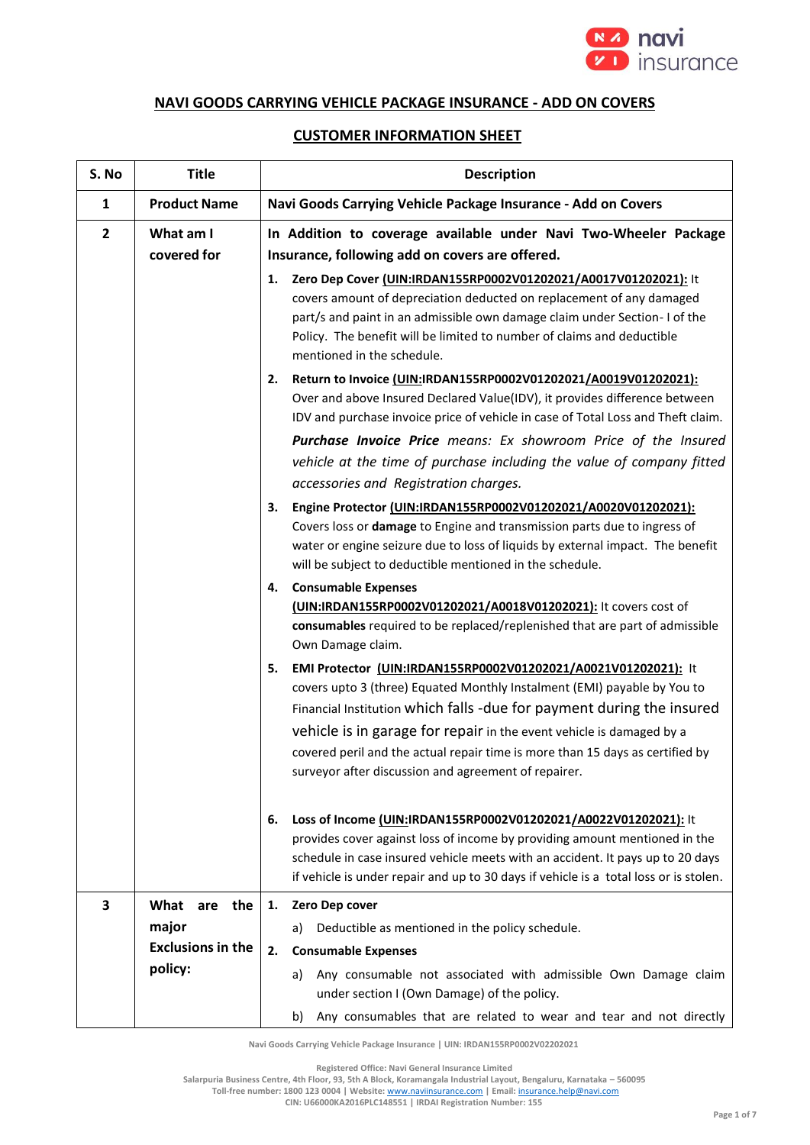

## **NAVI GOODS CARRYING VEHICLE PACKAGE INSURANCE - ADD ON COVERS**

## **CUSTOMER INFORMATION SHEET**

| S. No          | <b>Title</b>                      | <b>Description</b>                                                                                                                                                                                                                                                                                                                                                                                                                         |  |
|----------------|-----------------------------------|--------------------------------------------------------------------------------------------------------------------------------------------------------------------------------------------------------------------------------------------------------------------------------------------------------------------------------------------------------------------------------------------------------------------------------------------|--|
| $\mathbf{1}$   | <b>Product Name</b>               | Navi Goods Carrying Vehicle Package Insurance - Add on Covers                                                                                                                                                                                                                                                                                                                                                                              |  |
| $\overline{2}$ | What am I<br>covered for          | In Addition to coverage available under Navi Two-Wheeler Package<br>Insurance, following add on covers are offered.                                                                                                                                                                                                                                                                                                                        |  |
|                |                                   | Zero Dep Cover (UIN:IRDAN155RP0002V01202021/A0017V01202021): It<br>1.<br>covers amount of depreciation deducted on replacement of any damaged<br>part/s and paint in an admissible own damage claim under Section-I of the<br>Policy. The benefit will be limited to number of claims and deductible<br>mentioned in the schedule.                                                                                                         |  |
|                |                                   | Return to Invoice (UIN:IRDAN155RP0002V01202021/A0019V01202021):<br>2.<br>Over and above Insured Declared Value(IDV), it provides difference between<br>IDV and purchase invoice price of vehicle in case of Total Loss and Theft claim.                                                                                                                                                                                                    |  |
|                |                                   | Purchase Invoice Price means: Ex showroom Price of the Insured<br>vehicle at the time of purchase including the value of company fitted<br>accessories and Registration charges.                                                                                                                                                                                                                                                           |  |
|                |                                   | Engine Protector (UIN:IRDAN155RP0002V01202021/A0020V01202021):<br>3.<br>Covers loss or damage to Engine and transmission parts due to ingress of<br>water or engine seizure due to loss of liquids by external impact. The benefit<br>will be subject to deductible mentioned in the schedule.                                                                                                                                             |  |
|                |                                   | <b>Consumable Expenses</b><br>4.<br>(UIN:IRDAN155RP0002V01202021/A0018V01202021): It covers cost of<br>consumables required to be replaced/replenished that are part of admissible<br>Own Damage claim.                                                                                                                                                                                                                                    |  |
|                |                                   | EMI Protector (UIN:IRDAN155RP0002V01202021/A0021V01202021): It<br>5.<br>covers upto 3 (three) Equated Monthly Instalment (EMI) payable by You to<br>Financial Institution which falls -due for payment during the insured<br>vehicle is in garage for repair in the event vehicle is damaged by a<br>covered peril and the actual repair time is more than 15 days as certified by<br>surveyor after discussion and agreement of repairer. |  |
|                |                                   | Loss of Income (UIN:IRDAN155RP0002V01202021/A0022V01202021): It<br>6.<br>provides cover against loss of income by providing amount mentioned in the<br>schedule in case insured vehicle meets with an accident. It pays up to 20 days<br>if vehicle is under repair and up to 30 days if vehicle is a total loss or is stolen.                                                                                                             |  |
| 3              | What<br>are the                   | Zero Dep cover<br>1.                                                                                                                                                                                                                                                                                                                                                                                                                       |  |
|                | major<br><b>Exclusions in the</b> | Deductible as mentioned in the policy schedule.<br>a)                                                                                                                                                                                                                                                                                                                                                                                      |  |
|                | policy:                           | 2.<br><b>Consumable Expenses</b><br>Any consumable not associated with admissible Own Damage claim<br>a)<br>under section I (Own Damage) of the policy.                                                                                                                                                                                                                                                                                    |  |
|                |                                   | Any consumables that are related to wear and tear and not directly<br>b)                                                                                                                                                                                                                                                                                                                                                                   |  |

**Navi Goods Carrying Vehicle Package Insurance | UIN: IRDAN155RP0002V02202021**

**Registered Office: Navi General Insurance Limited**

**Salarpuria Business Centre, 4th Floor, 93, 5th A Block, Koramangala Industrial Layout, Bengaluru, Karnataka – 560095**

**Toll-free number: 1800 123 0004 | Website:** [www.naviinsurance.com](http://www.naviinsurance.com/) **| Email:** [insurance.help@navi.com](mailto:insurance.help@navi.com)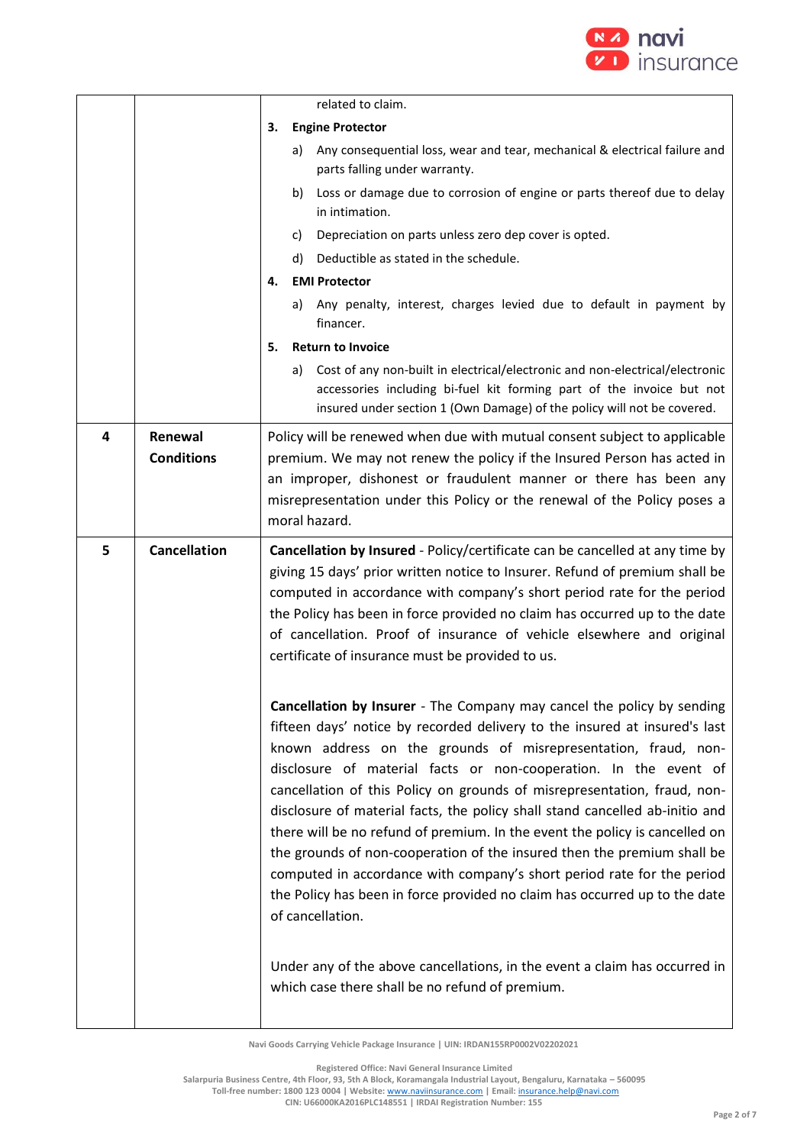

|   |                              |                                                                                                                                                                                                                                                                                                                                                                                                                                                  | related to claim.                                                                                                                                                                                                                                                                                                                                                                                                                                                                                                                                                                                                                                                                                                                                                                            |
|---|------------------------------|--------------------------------------------------------------------------------------------------------------------------------------------------------------------------------------------------------------------------------------------------------------------------------------------------------------------------------------------------------------------------------------------------------------------------------------------------|----------------------------------------------------------------------------------------------------------------------------------------------------------------------------------------------------------------------------------------------------------------------------------------------------------------------------------------------------------------------------------------------------------------------------------------------------------------------------------------------------------------------------------------------------------------------------------------------------------------------------------------------------------------------------------------------------------------------------------------------------------------------------------------------|
|   |                              | З.                                                                                                                                                                                                                                                                                                                                                                                                                                               | <b>Engine Protector</b>                                                                                                                                                                                                                                                                                                                                                                                                                                                                                                                                                                                                                                                                                                                                                                      |
|   |                              |                                                                                                                                                                                                                                                                                                                                                                                                                                                  | Any consequential loss, wear and tear, mechanical & electrical failure and<br>a)<br>parts falling under warranty.                                                                                                                                                                                                                                                                                                                                                                                                                                                                                                                                                                                                                                                                            |
|   |                              |                                                                                                                                                                                                                                                                                                                                                                                                                                                  | Loss or damage due to corrosion of engine or parts thereof due to delay<br>b)<br>in intimation.                                                                                                                                                                                                                                                                                                                                                                                                                                                                                                                                                                                                                                                                                              |
|   |                              |                                                                                                                                                                                                                                                                                                                                                                                                                                                  | Depreciation on parts unless zero dep cover is opted.<br>C)                                                                                                                                                                                                                                                                                                                                                                                                                                                                                                                                                                                                                                                                                                                                  |
|   |                              |                                                                                                                                                                                                                                                                                                                                                                                                                                                  | Deductible as stated in the schedule.<br>d)                                                                                                                                                                                                                                                                                                                                                                                                                                                                                                                                                                                                                                                                                                                                                  |
|   |                              | 4.                                                                                                                                                                                                                                                                                                                                                                                                                                               | <b>EMI Protector</b>                                                                                                                                                                                                                                                                                                                                                                                                                                                                                                                                                                                                                                                                                                                                                                         |
|   |                              |                                                                                                                                                                                                                                                                                                                                                                                                                                                  | Any penalty, interest, charges levied due to default in payment by<br>a)<br>financer.                                                                                                                                                                                                                                                                                                                                                                                                                                                                                                                                                                                                                                                                                                        |
|   |                              | 5.                                                                                                                                                                                                                                                                                                                                                                                                                                               | <b>Return to Invoice</b>                                                                                                                                                                                                                                                                                                                                                                                                                                                                                                                                                                                                                                                                                                                                                                     |
|   |                              |                                                                                                                                                                                                                                                                                                                                                                                                                                                  | Cost of any non-built in electrical/electronic and non-electrical/electronic<br>a)<br>accessories including bi-fuel kit forming part of the invoice but not<br>insured under section 1 (Own Damage) of the policy will not be covered.                                                                                                                                                                                                                                                                                                                                                                                                                                                                                                                                                       |
| 4 | Renewal<br><b>Conditions</b> |                                                                                                                                                                                                                                                                                                                                                                                                                                                  | Policy will be renewed when due with mutual consent subject to applicable<br>premium. We may not renew the policy if the Insured Person has acted in<br>an improper, dishonest or fraudulent manner or there has been any<br>misrepresentation under this Policy or the renewal of the Policy poses a<br>moral hazard.                                                                                                                                                                                                                                                                                                                                                                                                                                                                       |
| 5 | <b>Cancellation</b>          | Cancellation by Insured - Policy/certificate can be cancelled at any time by<br>giving 15 days' prior written notice to Insurer. Refund of premium shall be<br>computed in accordance with company's short period rate for the period<br>the Policy has been in force provided no claim has occurred up to the date<br>of cancellation. Proof of insurance of vehicle elsewhere and original<br>certificate of insurance must be provided to us. |                                                                                                                                                                                                                                                                                                                                                                                                                                                                                                                                                                                                                                                                                                                                                                                              |
|   |                              |                                                                                                                                                                                                                                                                                                                                                                                                                                                  | Cancellation by Insurer - The Company may cancel the policy by sending<br>fifteen days' notice by recorded delivery to the insured at insured's last<br>known address on the grounds of misrepresentation, fraud, non-<br>disclosure of material facts or non-cooperation. In the event of<br>cancellation of this Policy on grounds of misrepresentation, fraud, non-<br>disclosure of material facts, the policy shall stand cancelled ab-initio and<br>there will be no refund of premium. In the event the policy is cancelled on<br>the grounds of non-cooperation of the insured then the premium shall be<br>computed in accordance with company's short period rate for the period<br>the Policy has been in force provided no claim has occurred up to the date<br>of cancellation. |
|   |                              |                                                                                                                                                                                                                                                                                                                                                                                                                                                  | Under any of the above cancellations, in the event a claim has occurred in<br>which case there shall be no refund of premium.                                                                                                                                                                                                                                                                                                                                                                                                                                                                                                                                                                                                                                                                |

**Registered Office: Navi General Insurance Limited**

**Salarpuria Business Centre, 4th Floor, 93, 5th A Block, Koramangala Industrial Layout, Bengaluru, Karnataka – 560095**

**Toll-free number: 1800 123 0004 | Website:** [www.naviinsurance.com](http://www.naviinsurance.com/) **| Email:** [insurance.help@navi.com](mailto:insurance.help@navi.com) **CIN: U66000KA2016PLC148551 | IRDAI Registration Number: 155**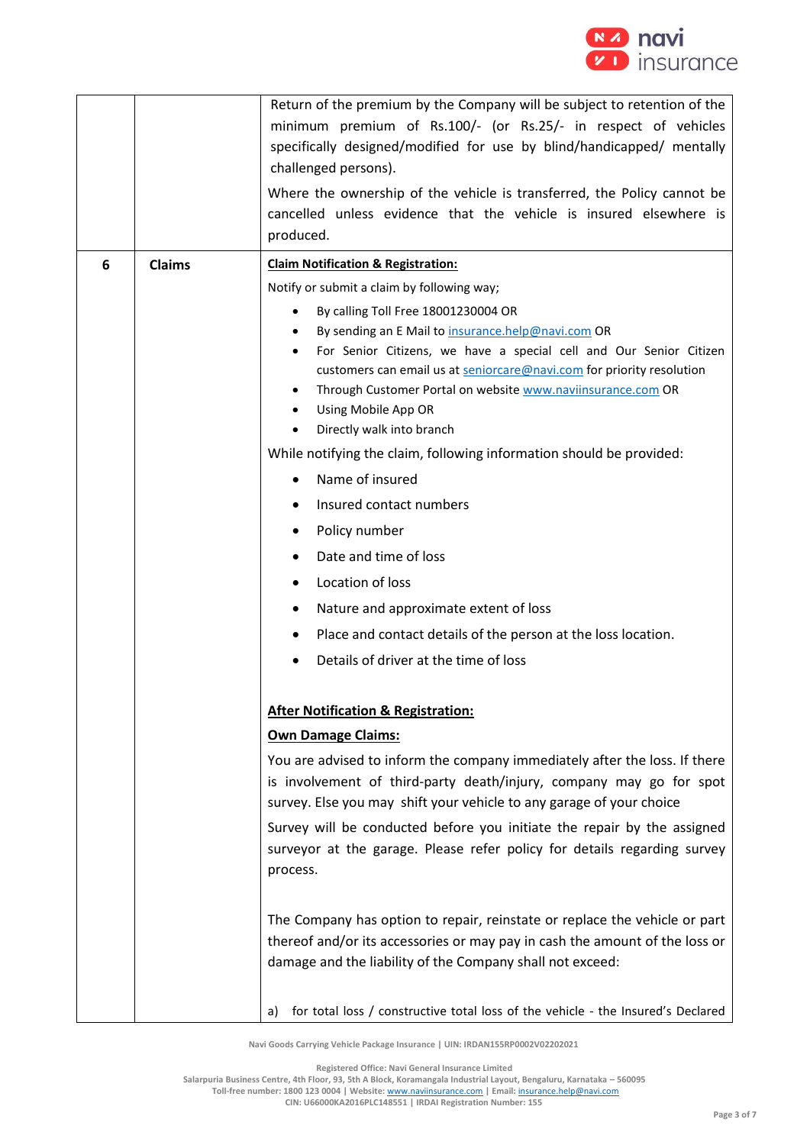

|   |               | Return of the premium by the Company will be subject to retention of the<br>minimum premium of Rs.100/- (or Rs.25/- in respect of vehicles<br>specifically designed/modified for use by blind/handicapped/ mentally<br>challenged persons).<br>Where the ownership of the vehicle is transferred, the Policy cannot be<br>cancelled unless evidence that the vehicle is insured elsewhere is<br>produced. |
|---|---------------|-----------------------------------------------------------------------------------------------------------------------------------------------------------------------------------------------------------------------------------------------------------------------------------------------------------------------------------------------------------------------------------------------------------|
| 6 | <b>Claims</b> | <b>Claim Notification &amp; Registration:</b>                                                                                                                                                                                                                                                                                                                                                             |
|   |               | Notify or submit a claim by following way;                                                                                                                                                                                                                                                                                                                                                                |
|   |               | By calling Toll Free 18001230004 OR<br>$\bullet$<br>By sending an E Mail to insurance.help@navi.com OR<br>For Senior Citizens, we have a special cell and Our Senior Citizen<br>customers can email us at seniorcare@navi.com for priority resolution<br>Through Customer Portal on website www.naviinsurance.com OR<br>٠<br>Using Mobile App OR<br>Directly walk into branch                             |
|   |               | While notifying the claim, following information should be provided:                                                                                                                                                                                                                                                                                                                                      |
|   |               | Name of insured                                                                                                                                                                                                                                                                                                                                                                                           |
|   |               | Insured contact numbers                                                                                                                                                                                                                                                                                                                                                                                   |
|   |               | Policy number                                                                                                                                                                                                                                                                                                                                                                                             |
|   |               | Date and time of loss                                                                                                                                                                                                                                                                                                                                                                                     |
|   |               | Location of loss                                                                                                                                                                                                                                                                                                                                                                                          |
|   |               | Nature and approximate extent of loss                                                                                                                                                                                                                                                                                                                                                                     |
|   |               | Place and contact details of the person at the loss location.                                                                                                                                                                                                                                                                                                                                             |
|   |               | Details of driver at the time of loss                                                                                                                                                                                                                                                                                                                                                                     |
|   |               | <b>After Notification &amp; Registration:</b>                                                                                                                                                                                                                                                                                                                                                             |
|   |               | <b>Own Damage Claims:</b>                                                                                                                                                                                                                                                                                                                                                                                 |
|   |               | You are advised to inform the company immediately after the loss. If there<br>is involvement of third-party death/injury, company may go for spot<br>survey. Else you may shift your vehicle to any garage of your choice                                                                                                                                                                                 |
|   |               | Survey will be conducted before you initiate the repair by the assigned<br>surveyor at the garage. Please refer policy for details regarding survey<br>process.                                                                                                                                                                                                                                           |
|   |               | The Company has option to repair, reinstate or replace the vehicle or part<br>thereof and/or its accessories or may pay in cash the amount of the loss or<br>damage and the liability of the Company shall not exceed:                                                                                                                                                                                    |
|   |               | for total loss / constructive total loss of the vehicle - the Insured's Declared<br>a)                                                                                                                                                                                                                                                                                                                    |

**Registered Office: Navi General Insurance Limited**

**Salarpuria Business Centre, 4th Floor, 93, 5th A Block, Koramangala Industrial Layout, Bengaluru, Karnataka – 560095**

**Toll-free number: 1800 123 0004 | Website:** [www.naviinsurance.com](http://www.naviinsurance.com/) **| Email:** [insurance.help@navi.com](mailto:insurance.help@navi.com)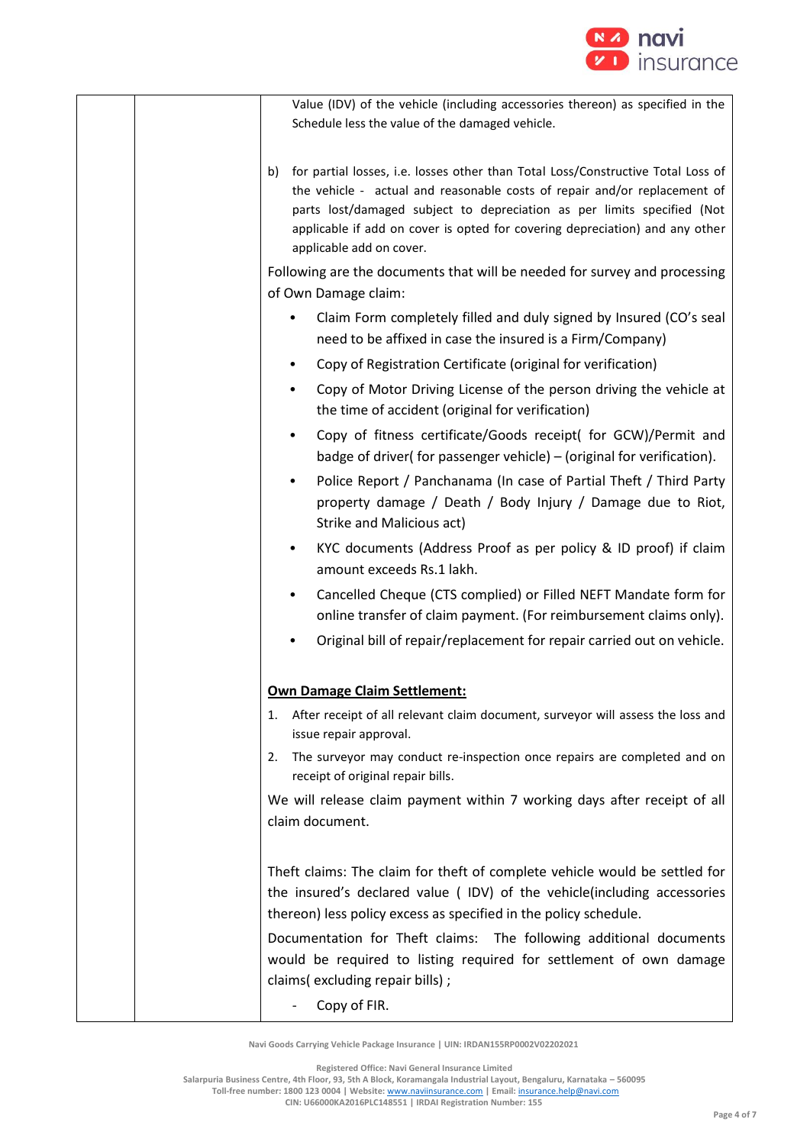

| Value (IDV) of the vehicle (including accessories thereon) as specified in the<br>Schedule less the value of the damaged vehicle.                                                                                                                                                                                                                          |
|------------------------------------------------------------------------------------------------------------------------------------------------------------------------------------------------------------------------------------------------------------------------------------------------------------------------------------------------------------|
| for partial losses, i.e. losses other than Total Loss/Constructive Total Loss of<br>b)<br>the vehicle - actual and reasonable costs of repair and/or replacement of<br>parts lost/damaged subject to depreciation as per limits specified (Not<br>applicable if add on cover is opted for covering depreciation) and any other<br>applicable add on cover. |
| Following are the documents that will be needed for survey and processing<br>of Own Damage claim:                                                                                                                                                                                                                                                          |
| Claim Form completely filled and duly signed by Insured (CO's seal<br>need to be affixed in case the insured is a Firm/Company)                                                                                                                                                                                                                            |
| Copy of Registration Certificate (original for verification)<br>$\bullet$                                                                                                                                                                                                                                                                                  |
| Copy of Motor Driving License of the person driving the vehicle at<br>$\bullet$<br>the time of accident (original for verification)                                                                                                                                                                                                                        |
| Copy of fitness certificate/Goods receipt( for GCW)/Permit and<br>$\bullet$<br>badge of driver(for passenger vehicle) – (original for verification).                                                                                                                                                                                                       |
| Police Report / Panchanama (In case of Partial Theft / Third Party<br>$\bullet$<br>property damage / Death / Body Injury / Damage due to Riot,<br>Strike and Malicious act)                                                                                                                                                                                |
| KYC documents (Address Proof as per policy & ID proof) if claim<br>$\bullet$<br>amount exceeds Rs.1 lakh.                                                                                                                                                                                                                                                  |
| Cancelled Cheque (CTS complied) or Filled NEFT Mandate form for<br>$\bullet$<br>online transfer of claim payment. (For reimbursement claims only).                                                                                                                                                                                                         |
| Original bill of repair/replacement for repair carried out on vehicle.                                                                                                                                                                                                                                                                                     |
| <b>Own Damage Claim Settlement:</b>                                                                                                                                                                                                                                                                                                                        |
| After receipt of all relevant claim document, surveyor will assess the loss and<br>1.<br>issue repair approval.                                                                                                                                                                                                                                            |
| The surveyor may conduct re-inspection once repairs are completed and on<br>2.<br>receipt of original repair bills.                                                                                                                                                                                                                                        |
| We will release claim payment within 7 working days after receipt of all<br>claim document.                                                                                                                                                                                                                                                                |
| Theft claims: The claim for theft of complete vehicle would be settled for<br>the insured's declared value (IDV) of the vehicle(including accessories<br>thereon) less policy excess as specified in the policy schedule.                                                                                                                                  |
| Documentation for Theft claims: The following additional documents<br>would be required to listing required for settlement of own damage<br>claims(excluding repair bills);                                                                                                                                                                                |
| Copy of FIR.                                                                                                                                                                                                                                                                                                                                               |

**Registered Office: Navi General Insurance Limited**

**Salarpuria Business Centre, 4th Floor, 93, 5th A Block, Koramangala Industrial Layout, Bengaluru, Karnataka – 560095**

**Toll-free number: 1800 123 0004 | Website:** [www.naviinsurance.com](http://www.naviinsurance.com/) **| Email:** [insurance.help@navi.com](mailto:insurance.help@navi.com)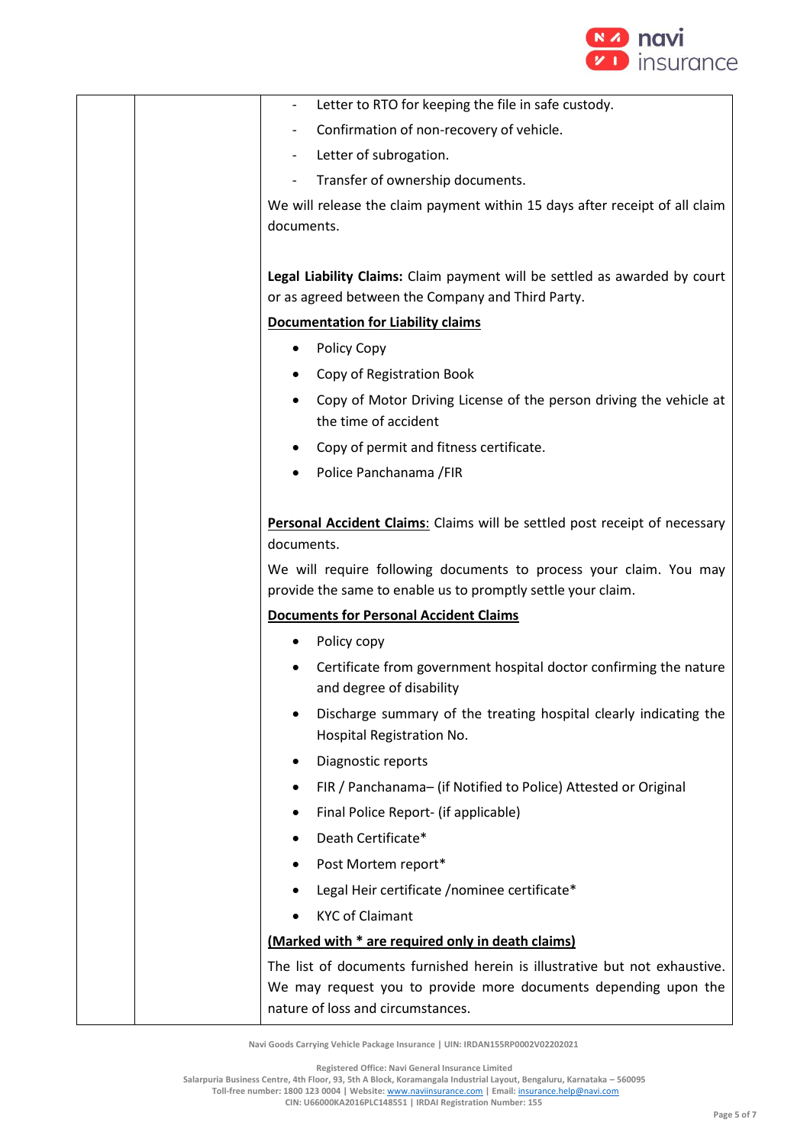

|            | Letter to RTO for keeping the file in safe custody.                                                                                              |
|------------|--------------------------------------------------------------------------------------------------------------------------------------------------|
|            | Confirmation of non-recovery of vehicle.                                                                                                         |
| -          | Letter of subrogation.                                                                                                                           |
|            | Transfer of ownership documents.                                                                                                                 |
| documents. | We will release the claim payment within 15 days after receipt of all claim                                                                      |
|            | Legal Liability Claims: Claim payment will be settled as awarded by court<br>or as agreed between the Company and Third Party.                   |
|            | <b>Documentation for Liability claims</b>                                                                                                        |
| ٠          | Policy Copy                                                                                                                                      |
|            | Copy of Registration Book                                                                                                                        |
|            | Copy of Motor Driving License of the person driving the vehicle at<br>the time of accident                                                       |
|            | Copy of permit and fitness certificate.                                                                                                          |
|            | Police Panchanama / FIR                                                                                                                          |
| documents. | Personal Accident Claims: Claims will be settled post receipt of necessary<br>We will require following documents to process your claim. You may |
|            | provide the same to enable us to promptly settle your claim.                                                                                     |
|            | <b>Documents for Personal Accident Claims</b>                                                                                                    |
|            | Policy copy                                                                                                                                      |
|            | Certificate from government hospital doctor confirming the nature<br>and degree of disability                                                    |
|            | Discharge summary of the treating hospital clearly indicating the<br>Hospital Registration No.                                                   |
| ٠          | Diagnostic reports                                                                                                                               |
| ٠          | FIR / Panchanama- (if Notified to Police) Attested or Original                                                                                   |
| ٠          | Final Police Report- (if applicable)                                                                                                             |
| $\bullet$  | Death Certificate*                                                                                                                               |
|            | Post Mortem report*                                                                                                                              |
|            | Legal Heir certificate /nominee certificate*                                                                                                     |
| ٠          | <b>KYC of Claimant</b>                                                                                                                           |
|            | (Marked with * are required only in death claims)                                                                                                |
|            | The list of documents furnished herein is illustrative but not exhaustive.<br>We may request you to provide more documents depending upon the    |
|            | nature of loss and circumstances.                                                                                                                |

**Registered Office: Navi General Insurance Limited**

**Salarpuria Business Centre, 4th Floor, 93, 5th A Block, Koramangala Industrial Layout, Bengaluru, Karnataka – 560095**

**Toll-free number: 1800 123 0004 | Website:** [www.naviinsurance.com](http://www.naviinsurance.com/) **| Email:** [insurance.help@navi.com](mailto:insurance.help@navi.com)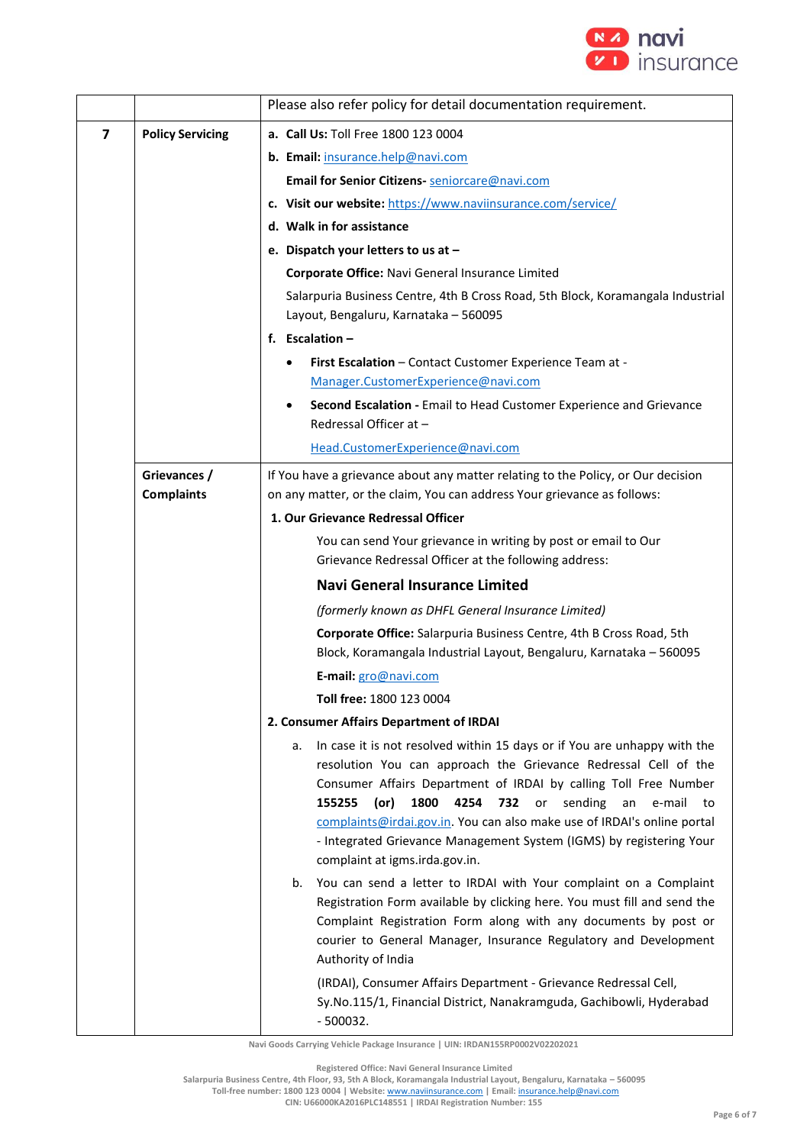

|                         |                                   | Please also refer policy for detail documentation requirement.                                                                                                                                                                                                                                                                                                                                                                                                                      |
|-------------------------|-----------------------------------|-------------------------------------------------------------------------------------------------------------------------------------------------------------------------------------------------------------------------------------------------------------------------------------------------------------------------------------------------------------------------------------------------------------------------------------------------------------------------------------|
|                         |                                   |                                                                                                                                                                                                                                                                                                                                                                                                                                                                                     |
| $\overline{\mathbf{z}}$ | <b>Policy Servicing</b>           | a. Call Us: Toll Free 1800 123 0004<br>b. Email: insurance.help@navi.com                                                                                                                                                                                                                                                                                                                                                                                                            |
|                         |                                   | Email for Senior Citizens- seniorcare@navi.com                                                                                                                                                                                                                                                                                                                                                                                                                                      |
|                         |                                   | c. Visit our website: https://www.naviinsurance.com/service/                                                                                                                                                                                                                                                                                                                                                                                                                        |
|                         |                                   | d. Walk in for assistance                                                                                                                                                                                                                                                                                                                                                                                                                                                           |
|                         |                                   | e. Dispatch your letters to us at -                                                                                                                                                                                                                                                                                                                                                                                                                                                 |
|                         |                                   | Corporate Office: Navi General Insurance Limited                                                                                                                                                                                                                                                                                                                                                                                                                                    |
|                         |                                   | Salarpuria Business Centre, 4th B Cross Road, 5th Block, Koramangala Industrial                                                                                                                                                                                                                                                                                                                                                                                                     |
|                         |                                   | Layout, Bengaluru, Karnataka - 560095                                                                                                                                                                                                                                                                                                                                                                                                                                               |
|                         |                                   | f. Escalation $-$                                                                                                                                                                                                                                                                                                                                                                                                                                                                   |
|                         |                                   | First Escalation - Contact Customer Experience Team at -                                                                                                                                                                                                                                                                                                                                                                                                                            |
|                         |                                   | Manager.CustomerExperience@navi.com                                                                                                                                                                                                                                                                                                                                                                                                                                                 |
|                         |                                   | Second Escalation - Email to Head Customer Experience and Grievance<br>Redressal Officer at -                                                                                                                                                                                                                                                                                                                                                                                       |
|                         |                                   | Head.CustomerExperience@navi.com                                                                                                                                                                                                                                                                                                                                                                                                                                                    |
|                         | Grievances /<br><b>Complaints</b> | If You have a grievance about any matter relating to the Policy, or Our decision<br>on any matter, or the claim, You can address Your grievance as follows:                                                                                                                                                                                                                                                                                                                         |
|                         |                                   | 1. Our Grievance Redressal Officer                                                                                                                                                                                                                                                                                                                                                                                                                                                  |
|                         |                                   | You can send Your grievance in writing by post or email to Our<br>Grievance Redressal Officer at the following address:                                                                                                                                                                                                                                                                                                                                                             |
|                         |                                   | <b>Navi General Insurance Limited</b>                                                                                                                                                                                                                                                                                                                                                                                                                                               |
|                         |                                   | (formerly known as DHFL General Insurance Limited)                                                                                                                                                                                                                                                                                                                                                                                                                                  |
|                         |                                   | Corporate Office: Salarpuria Business Centre, 4th B Cross Road, 5th                                                                                                                                                                                                                                                                                                                                                                                                                 |
|                         |                                   | Block, Koramangala Industrial Layout, Bengaluru, Karnataka - 560095                                                                                                                                                                                                                                                                                                                                                                                                                 |
|                         |                                   | E-mail: gro@navi.com                                                                                                                                                                                                                                                                                                                                                                                                                                                                |
|                         |                                   | Toll free: 1800 123 0004                                                                                                                                                                                                                                                                                                                                                                                                                                                            |
|                         |                                   | 2. Consumer Affairs Department of IRDAI                                                                                                                                                                                                                                                                                                                                                                                                                                             |
|                         |                                   | In case it is not resolved within 15 days or if You are unhappy with the<br>а.<br>resolution You can approach the Grievance Redressal Cell of the<br>Consumer Affairs Department of IRDAI by calling Toll Free Number<br>1800<br>4254 732 or<br>155255<br>(or)<br>sending<br>e-mail<br>an<br>to<br>complaints@irdai.gov.in. You can also make use of IRDAI's online portal<br>- Integrated Grievance Management System (IGMS) by registering Your<br>complaint at igms.irda.gov.in. |
|                         |                                   | You can send a letter to IRDAI with Your complaint on a Complaint<br>b.<br>Registration Form available by clicking here. You must fill and send the<br>Complaint Registration Form along with any documents by post or<br>courier to General Manager, Insurance Regulatory and Development<br>Authority of India<br>(IRDAI), Consumer Affairs Department - Grievance Redressal Cell,<br>Sy.No.115/1, Financial District, Nanakramguda, Gachibowli, Hyderabad                        |
|                         |                                   | $-500032.$                                                                                                                                                                                                                                                                                                                                                                                                                                                                          |

**Registered Office: Navi General Insurance Limited**

**Salarpuria Business Centre, 4th Floor, 93, 5th A Block, Koramangala Industrial Layout, Bengaluru, Karnataka – 560095**

**Toll-free number: 1800 123 0004 | Website:** [www.naviinsurance.com](http://www.naviinsurance.com/) **| Email:** [insurance.help@navi.com](mailto:insurance.help@navi.com)